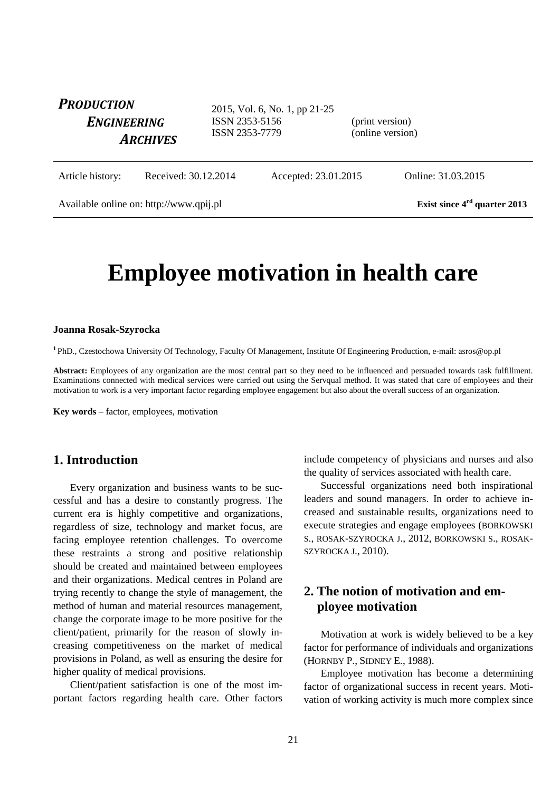| <b>PRODUCTION</b><br><b>ENGINEERING</b><br><b>ARCHIVES</b> |                      | 2015, Vol. 6, No. 1, pp 21-25<br>ISSN 2353-5156<br>ISSN 2353-7779 |                      | (print version)<br>(online version) |                    |
|------------------------------------------------------------|----------------------|-------------------------------------------------------------------|----------------------|-------------------------------------|--------------------|
| Article history:                                           | Received: 30.12.2014 |                                                                   | Accepted: 23.01.2015 |                                     | Online: 31.03.2015 |

Available online on: http://www.qpij.pl Exist since 4<sup>rd</sup> quarter 2013

# **Employee motivation in health care**

#### **Joanna Rosak-Szyrocka**

**<sup>1</sup>** PhD., Czestochowa University Of Technology, Faculty Of Management, Institute Of Engineering Production, e-mail: asros@op.pl

**Abstract:** Employees of any organization are the most central part so they need to be influenced and persuaded towards task fulfillment. Examinations connected with medical services were carried out using the Servqual method. It was stated that care of employees and their motivation to work is a very important factor regarding employee engagement but also about the overall success of an organization.

**Key words** – factor, employees, motivation

## **1. Introduction**

Every organization and business wants to be successful and has a desire to constantly progress. The current era is highly competitive and organizations, regardless of size, technology and market focus, are facing employee retention challenges. To overcome these restraints a strong and positive relationship should be created and maintained between employees and their organizations. Medical centres in Poland are trying recently to change the style of management, the method of human and material resources management, change the corporate image to be more positive for the client/patient, primarily for the reason of slowly increasing competitiveness on the market of medical provisions in Poland, as well as ensuring the desire for higher quality of medical provisions.

Client/patient satisfaction is one of the most important factors regarding health care. Other factors include competency of physicians and nurses and also the quality of services associated with health care.

Successful organizations need both inspirational leaders and sound managers. In order to achieve increased and sustainable results, organizations need to execute strategies and engage employees (BORKOWSKI S., ROSAK-SZYROCKA J., 2012, BORKOWSKI S., ROSAK-SZYROCKA J., 2010).

# **2. The notion of motivation and employee motivation**

Motivation at work is widely believed to be a key factor for performance of individuals and organizations (HORNBY P., SIDNEY E., 1988).

Employee motivation has become a determining factor of organizational success in recent years. Motivation of working activity is much more complex since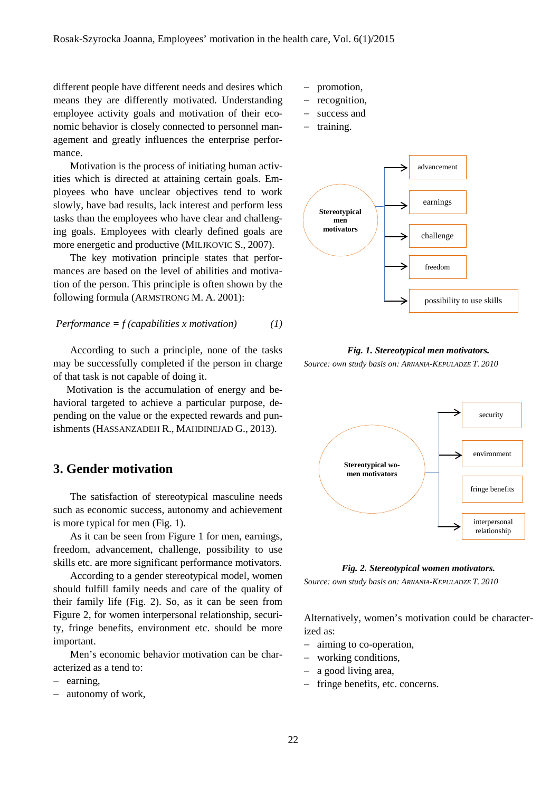different people have different needs and desires which means they are differently motivated. Understanding employee activity goals and motivation of their economic behavior is closely connected to personnel management and greatly influences the enterprise performance.

Motivation is the process of initiating human activities which is directed at attaining certain goals. Employees who have unclear objectives tend to work slowly, have bad results, lack interest and perform less tasks than the employees who have clear and challenging goals. Employees with clearly defined goals are more energetic and productive (MILJKOVIC S., 2007).

The key motivation principle states that performances are based on the level of abilities and motivation of the person. This principle is often shown by the following formula (ARMSTRONG M. A. 2001):

$$
Performance = f(capabilities \ x \ motivation)
$$
 (1)

According to such a principle, none of the tasks may be successfully completed if the person in charge of that task is not capable of doing it.

Motivation is the accumulation of energy and behavioral targeted to achieve a particular purpose, depending on the value or the expected rewards and punishments (HASSANZADEH R., MAHDINEJAD G., 2013).

### **3. Gender motivation**

The satisfaction of stereotypical masculine needs such as economic success, autonomy and achievement is more typical for men (Fig. 1).

As it can be seen from Figure 1 for men, earnings, freedom, advancement, challenge, possibility to use skills etc. are more significant performance motivators.

According to a gender stereotypical model, women should fulfill family needs and care of the quality of their family life (Fig. 2). So, as it can be seen from Figure 2, for women interpersonal relationship, security, fringe benefits, environment etc. should be more important.

Men's economic behavior motivation can be characterized as a tend to:

- − earning,
- autonomy of work,
- − promotion,
- − recognition,
- success and
- training.



*Fig. 1. Stereotypical men motivators. Source: own study basis on: ARNANIA-KEPULADZE T. 2010*



*Fig. 2. Stereotypical women motivators.*

*Source: own study basis on: ARNANIA-KEPULADZE T. 2010*

Alternatively, women's motivation could be characterized as:

- − aiming to co-operation,
- − working conditions,
- − a good living area,
- − fringe benefits, etc. concerns.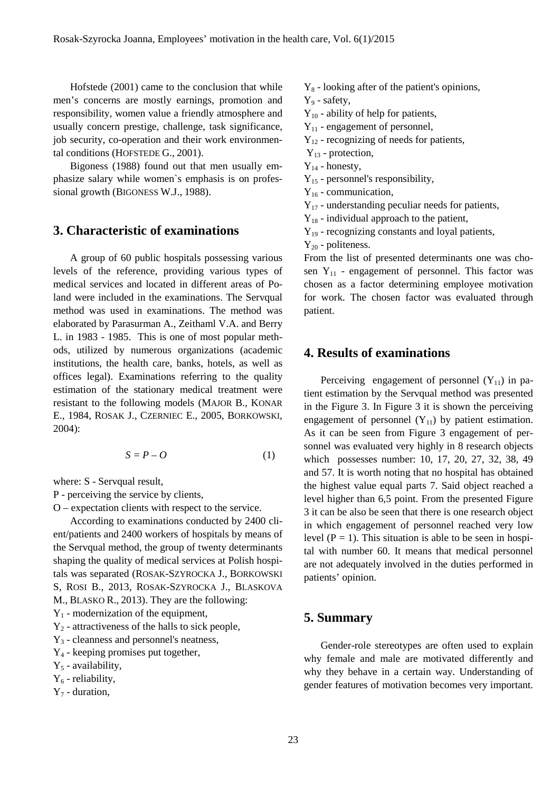Hofstede (2001) came to the conclusion that while men's concerns are mostly earnings, promotion and responsibility, women value a friendly atmosphere and usually concern prestige, challenge, task significance, job security, co-operation and their work environmental conditions (HOFSTEDE G., 2001).

Bigoness (1988) found out that men usually emphasize salary while women`s emphasis is on professional growth (BIGONESS W.J., 1988).

### **3. Characteristic of examinations**

A group of 60 public hospitals possessing various levels of the reference, providing various types of medical services and located in different areas of Poland were included in the examinations. The Servqual method was used in examinations. The method was elaborated by Parasurman A., Zeithaml V.A. and Berry L. in 1983 - 1985. This is one of most popular methods, utilized by numerous organizations (academic institutions, the health care, banks, hotels, as well as offices legal). Examinations referring to the quality estimation of the stationary medical treatment were resistant to the following models (MAJOR B., KONAR E., 1984, ROSAK J., CZERNIEC E., 2005, BORKOWSKI, 2004):

$$
S = P - O \tag{1}
$$

where: S - Servqual result,

- P perceiving the service by clients,
- O expectation clients with respect to the service.

According to examinations conducted by 2400 client/patients and 2400 workers of hospitals by means of the Servqual method, the group of twenty determinants shaping the quality of medical services at Polish hospitals was separated (ROSAK-SZYROCKA J., BORKOWSKI S, ROSI B., 2013, ROSAK-SZYROCKA J., BLASKOVA

M., BLASKO R., 2013). They are the following:

 $Y_1$  - modernization of the equipment,

 $Y_2$  - attractiveness of the halls to sick people,

 $Y_3$  - cleanness and personnel's neatness,

 $Y_4$  - keeping promises put together,

 $Y_5$  - availability,

 $Y_6$  - reliability,

 $Y_7$  - duration,

- $Y_8$  looking after of the patient's opinions,
- Y<sub>9</sub> safety,

 $Y_{10}$  - ability of help for patients,

 $Y_{11}$  - engagement of personnel,

 $Y_{12}$  - recognizing of needs for patients,

- $Y_{13}$  protection,
- $Y_{14}$  honesty,
- Y15 personnel's responsibility,
- $Y_{16}$  communication,
- $Y_{17}$  understanding peculiar needs for patients,
- $Y_{18}$  individual approach to the patient,
- $Y_{19}$  recognizing constants and loyal patients,

 $Y_{20}$  - politeness.

From the list of presented determinants one was chosen  $Y_{11}$  - engagement of personnel. This factor was chosen as a factor determining employee motivation for work. The chosen factor was evaluated through patient.

#### **4. Results of examinations**

Perceiving engagement of personnel  $(Y_{11})$  in patient estimation by the Servqual method was presented in the Figure 3. In Figure 3 it is shown the perceiving engagement of personnel  $(Y_{11})$  by patient estimation. As it can be seen from Figure 3 engagement of personnel was evaluated very highly in 8 research objects which possesses number: 10, 17, 20, 27, 32, 38, 49 and 57. It is worth noting that no hospital has obtained the highest value equal parts 7. Said object reached a level higher than 6,5 point. From the presented Figure 3 it can be also be seen that there is one research object in which engagement of personnel reached very low level  $(P = 1)$ . This situation is able to be seen in hospital with number 60. It means that medical personnel are not adequately involved in the duties performed in patients' opinion.

#### **5. Summary**

Gender-role stereotypes are often used to explain why female and male are motivated differently and why they behave in a certain way. Understanding of gender features of motivation becomes very important.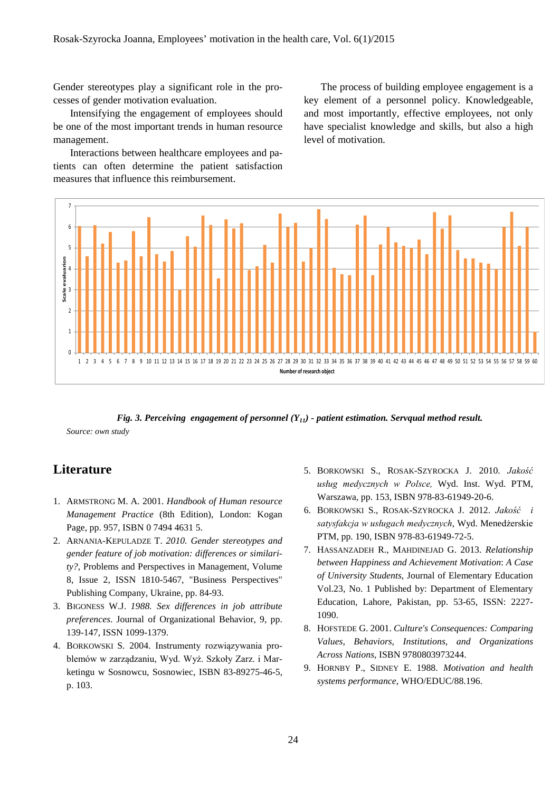Gender stereotypes play a significant role in the processes of gender motivation evaluation.

Intensifying the engagement of employees should be one of the most important trends in human resource management.

Interactions between healthcare employees and patients can often determine the patient satisfaction measures that influence this reimbursement.

The process of building employee engagement is a key element of a personnel policy. Knowledgeable, and most importantly, effective employees, not only have specialist knowledge and skills, but also a high level of motivation.



*Fig. 3. Perceiving engagement of personnel (Y11) - patient estimation. Servqual method result. Source: own study*

# **Literature**

- 1. ARMSTRONG M. A. 2001. *Handbook of Human resource Management Practice* (8th Edition), London: Kogan Page, pp. 957, ISBN 0 7494 4631 5.
- 2. ARNANIA-KEPULADZE T. *2010. Gender stereotypes and gender feature of job motivation: differences or similarity?*, Problems and Perspectives in Management, Volume 8, Issue 2, ISSN 1810-5467, "Business Perspectives" Publishing Company, Ukraine, pp. 84-93.
- 3. BIGONESS W.J. *1988. Sex differences in job attribute preferences*. Journal of Organizational Behavior, 9, pp. 139-147, ISSN 1099-1379.
- 4. BORKOWSKI S. 2004. Instrumenty rozwiązywania problemów w zarządzaniu, Wyd. Wyż. Szkoły Zarz. i Marketingu w Sosnowcu, Sosnowiec, ISBN 83-89275-46-5, p. 103.
- 5. BORKOWSKI S., ROSAK-SZYROCKA J. 2010. *Jakość usług medycznych w Polsce,* Wyd. Inst. Wyd. PTM, Warszawa, pp. 153, ISBN 978-83-61949-20-6.
- 6. BORKOWSKI S., ROSAK-SZYROCKA J. 2012. *Jakość i satysfakcja w usługach medycznych*, Wyd. Menedżerskie PTM, pp. 190, ISBN 978-83-61949-72-5.
- 7. HASSANZADEH R., MAHDINEJAD G. 2013. *Relationship between Happiness and Achievement Motivation*: *A Case of University Students*, Journal of Elementary Education Vol.23, No. 1 Published by: Department of Elementary Education, Lahore, Pakistan, pp. 53-65, ISSN: 2227- 1090.
- 8. HOFSTEDE G. 2001. *Culture's Consequences: Comparing Values, Behaviors, Institutions, and Organizations Across Nations*, ISBN 9780803973244.
- 9. HORNBY P., SIDNEY E. 1988. *Motivation and health systems performance*, WHO/EDUC/88.196.